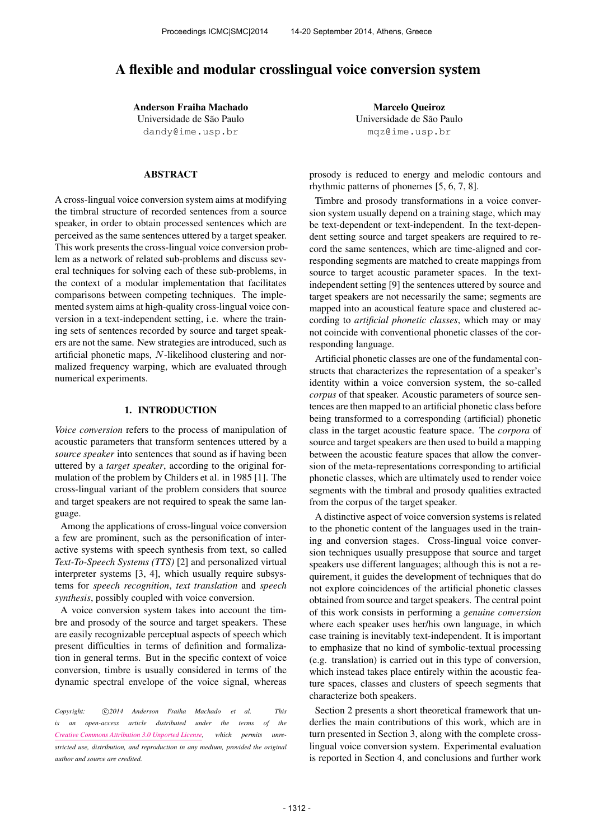# A flexible and modular crosslingual voice conversion system

Anderson Fraiha Machado Universidade de São Paulo [dandy@ime.usp.br](mailto:dandy@ime.usp.br)

## ABSTRACT

A cross-lingual voice conversion system aims at modifying the timbral structure of recorded sentences from a source speaker, in order to obtain processed sentences which are perceived as the same sentences uttered by a target speaker. This work presents the cross-lingual voice conversion problem as a network of related sub-problems and discuss several techniques for solving each of these sub-problems, in the context of a modular implementation that facilitates comparisons between competing techniques. The implemented system aims at high-quality cross-lingual voice conversion in a text-independent setting, i.e. where the training sets of sentences recorded by source and target speakers are not the same. New strategies are introduced, such as artificial phonetic maps, N-likelihood clustering and normalized frequency warping, which are evaluated through numerical experiments.

## 1. INTRODUCTION

*Voice conversion* refers to the process of manipulation of acoustic parameters that transform sentences uttered by a *source speaker* into sentences that sound as if having been uttered by a *target speaker*, according to the original formulation of the problem by Childers et al. in 1985 [1]. The cross-lingual variant of the problem considers that source and target speakers are not required to speak the same language.

Among the applications of cross-lingual voice conversion a few are prominent, such as the personification of interactive systems with speech synthesis from text, so called *Text-To-Speech Systems (TTS)* [2] and personalized virtual interpreter systems [3, 4], which usually require subsystems for *speech recognition*, *text translation* and *speech synthesis*, possibly coupled with voice conversion.

A voice conversion system takes into account the timbre and prosody of the source and target speakers. These are easily recognizable perceptual aspects of speech which present difficulties in terms of definition and formalization in general terms. But in the specific context of voice conversion, timbre is usually considered in terms of the dynamic spectral envelope of the voice signal, whereas

Copyright:  $\bigcirc$ 2014 Anderson Fraiha Machado et al. This *is an open-access article distributed under the terms of the [Creative Commons Attribution 3.0 Unported License,](http://creativecommons.org/licenses/by/3.0/) which permits unrestricted use, distribution, and reproduction in any medium, provided the original author and source are credited.*

Marcelo Queiroz Universidade de São Paulo [mqz@ime.usp.br](mailto:mqz@ime.usp.br)

prosody is reduced to energy and melodic contours and rhythmic patterns of phonemes [5, 6, 7, 8].

Timbre and prosody transformations in a voice conversion system usually depend on a training stage, which may be text-dependent or text-independent. In the text-dependent setting source and target speakers are required to record the same sentences, which are time-aligned and corresponding segments are matched to create mappings from source to target acoustic parameter spaces. In the textindependent setting [9] the sentences uttered by source and target speakers are not necessarily the same; segments are mapped into an acoustical feature space and clustered according to *artificial phonetic classes*, which may or may not coincide with conventional phonetic classes of the corresponding language.

Artificial phonetic classes are one of the fundamental constructs that characterizes the representation of a speaker's identity within a voice conversion system, the so-called *corpus* of that speaker. Acoustic parameters of source sentences are then mapped to an artificial phonetic class before being transformed to a corresponding (artificial) phonetic class in the target acoustic feature space. The *corpora* of source and target speakers are then used to build a mapping between the acoustic feature spaces that allow the conversion of the meta-representations corresponding to artificial phonetic classes, which are ultimately used to render voice segments with the timbral and prosody qualities extracted from the corpus of the target speaker.

A distinctive aspect of voice conversion systems is related to the phonetic content of the languages used in the training and conversion stages. Cross-lingual voice conversion techniques usually presuppose that source and target speakers use different languages; although this is not a requirement, it guides the development of techniques that do not explore coincidences of the artificial phonetic classes obtained from source and target speakers. The central point of this work consists in performing a *genuine conversion* where each speaker uses her/his own language, in which case training is inevitably text-independent. It is important to emphasize that no kind of symbolic-textual processing (e.g. translation) is carried out in this type of conversion, which instead takes place entirely within the acoustic feature spaces, classes and clusters of speech segments that characterize both speakers.

Section 2 presents a short theoretical framework that underlies the main contributions of this work, which are in turn presented in Section 3, along with the complete crosslingual voice conversion system. Experimental evaluation is reported in Section 4, and conclusions and further work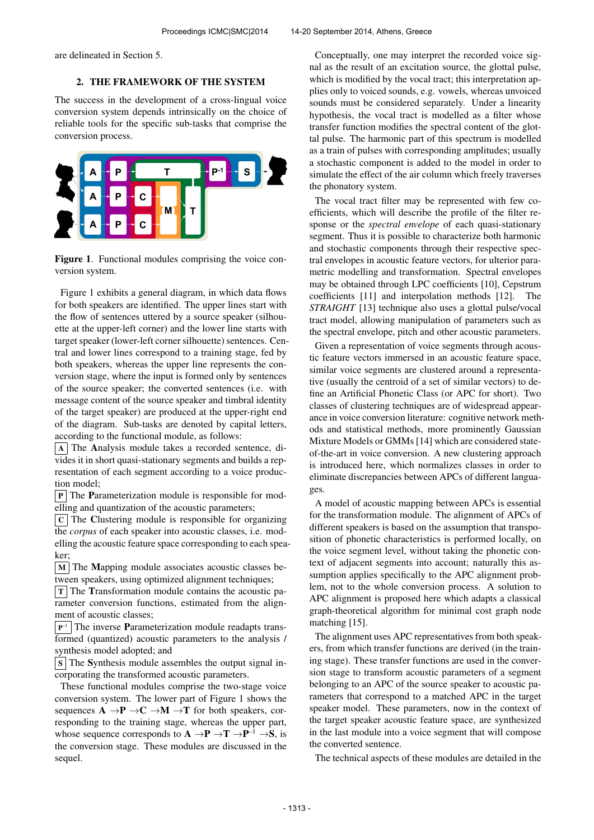are delineated in Section 5.

## 2. THE FRAMEWORK OF THE SYSTEM

The success in the development of a cross-lingual voice conversion system depends intrinsically on the choice of reliable tools for the specific sub-tasks that comprise the conversion process.



Figure 1. Functional modules comprising the voice conversion system.

Figure 1 exhibits a general diagram, in which data flows for both speakers are identified. The upper lines start with the flow of sentences uttered by a source speaker (silhouette at the upper-left corner) and the lower line starts with target speaker (lower-left corner silhouette) sentences. Central and lower lines correspond to a training stage, fed by both speakers, whereas the upper line represents the conversion stage, where the input is formed only by sentences of the source speaker; the converted sentences (i.e. with message content of the source speaker and timbral identity of the target speaker) are produced at the upper-right end of the diagram. Sub-tasks are denoted by capital letters, according to the functional module, as follows:

A The Analysis module takes a recorded sentence, divides it in short quasi-stationary segments and builds a representation of each segment according to a voice production model;

 $\boxed{P}$  The Parameterization module is responsible for modelling and quantization of the acoustic parameters;

 $|c|$  The Clustering module is responsible for organizing the *corpus* of each speaker into acoustic classes, i.e. modelling the acoustic feature space corresponding to each speaker;

 $\vert$  M  $\vert$  The Mapping module associates acoustic classes between speakers, using optimized alignment techniques;

 $T$  The Transformation module contains the acoustic parameter conversion functions, estimated from the alignment of acoustic classes;

 $P^{-1}$  The inverse **P**arameterization module readapts transformed (quantized) acoustic parameters to the analysis / synthesis model adopted; and

 $\vert$  S  $\vert$  The Synthesis module assembles the output signal incorporating the transformed acoustic parameters.

These functional modules comprise the two-stage voice conversion system. The lower part of Figure 1 shows the sequences  $A \rightarrow P \rightarrow C \rightarrow M \rightarrow T$  for both speakers, corresponding to the training stage, whereas the upper part, whose sequence corresponds to  $A \rightarrow P \rightarrow T \rightarrow P^{-1} \rightarrow S$ , is the conversion stage. These modules are discussed in the sequel.

Conceptually, one may interpret the recorded voice signal as the result of an excitation source, the glottal pulse, which is modified by the vocal tract; this interpretation applies only to voiced sounds, e.g. vowels, whereas unvoiced sounds must be considered separately. Under a linearity hypothesis, the vocal tract is modelled as a filter whose transfer function modifies the spectral content of the glottal pulse. The harmonic part of this spectrum is modelled as a train of pulses with corresponding amplitudes; usually a stochastic component is added to the model in order to simulate the effect of the air column which freely traverses the phonatory system.

The vocal tract filter may be represented with few coefficients, which will describe the profile of the filter response or the *spectral envelope* of each quasi-stationary segment. Thus it is possible to characterize both harmonic and stochastic components through their respective spectral envelopes in acoustic feature vectors, for ulterior parametric modelling and transformation. Spectral envelopes may be obtained through LPC coefficients [10], Cepstrum coefficients [11] and interpolation methods [12]. The *STRAIGHT* [13] technique also uses a glottal pulse/vocal tract model, allowing manipulation of parameters such as the spectral envelope, pitch and other acoustic parameters.

Given a representation of voice segments through acoustic feature vectors immersed in an acoustic feature space, similar voice segments are clustered around a representative (usually the centroid of a set of similar vectors) to define an Artificial Phonetic Class (or APC for short). Two classes of clustering techniques are of widespread appearance in voice conversion literature: cognitive network methods and statistical methods, more prominently Gaussian Mixture Models or GMMs [14] which are considered stateof-the-art in voice conversion. A new clustering approach is introduced here, which normalizes classes in order to eliminate discrepancies between APCs of different languages.

A model of acoustic mapping between APCs is essential for the transformation module. The alignment of APCs of different speakers is based on the assumption that transposition of phonetic characteristics is performed locally, on the voice segment level, without taking the phonetic context of adjacent segments into account; naturally this assumption applies specifically to the APC alignment problem, not to the whole conversion process. A solution to APC alignment is proposed here which adapts a classical graph-theoretical algorithm for minimal cost graph node matching [15].

The alignment uses APC representatives from both speakers, from which transfer functions are derived (in the training stage). These transfer functions are used in the conversion stage to transform acoustic parameters of a segment belonging to an APC of the source speaker to acoustic parameters that correspond to a matched APC in the target speaker model. These parameters, now in the context of the target speaker acoustic feature space, are synthesized in the last module into a voice segment that will compose the converted sentence.

The technical aspects of these modules are detailed in the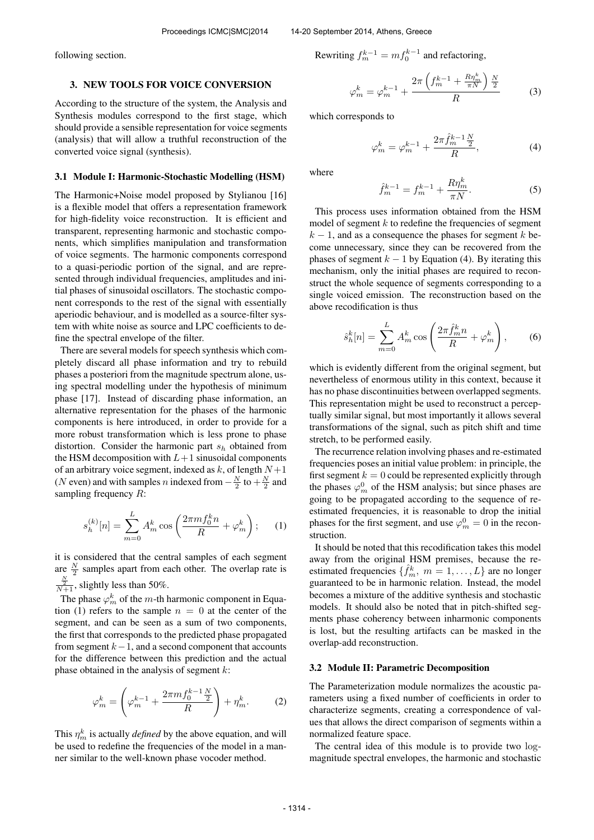following section.

## 3. NEW TOOLS FOR VOICE CONVERSION

According to the structure of the system, the Analysis and Synthesis modules correspond to the first stage, which should provide a sensible representation for voice segments (analysis) that will allow a truthful reconstruction of the converted voice signal (synthesis).

#### 3.1 Module I: Harmonic-Stochastic Modelling (HSM)

The Harmonic+Noise model proposed by Stylianou [16] is a flexible model that offers a representation framework for high-fidelity voice reconstruction. It is efficient and transparent, representing harmonic and stochastic components, which simplifies manipulation and transformation of voice segments. The harmonic components correspond to a quasi-periodic portion of the signal, and are represented through individual frequencies, amplitudes and initial phases of sinusoidal oscillators. The stochastic component corresponds to the rest of the signal with essentially aperiodic behaviour, and is modelled as a source-filter system with white noise as source and LPC coefficients to define the spectral envelope of the filter.

There are several models for speech synthesis which completely discard all phase information and try to rebuild phases a posteriori from the magnitude spectrum alone, using spectral modelling under the hypothesis of minimum phase [17]. Instead of discarding phase information, an alternative representation for the phases of the harmonic components is here introduced, in order to provide for a more robust transformation which is less prone to phase distortion. Consider the harmonic part  $s_h$  obtained from the HSM decomposition with  $L+1$  sinusoidal components of an arbitrary voice segment, indexed as  $k$ , of length  $N+1$ (N even) and with samples n indexed from  $-\frac{N}{2}$  to  $+\frac{N}{2}$  and sampling frequency  $R$ :

$$
s_h^{(k)}[n] = \sum_{m=0}^{L} A_m^k \cos\left(\frac{2\pi m f_0^k n}{R} + \varphi_m^k\right); \quad (1)
$$

it is considered that the central samples of each segment are  $\frac{N}{2}$  samples apart from each other. The overlap rate is  $\frac{\frac{N}{2}}{N+1}$ , slightly less than 50%.

The phase  $\varphi_m^k$  of the *m*-th harmonic component in Equation (1) refers to the sample  $n = 0$  at the center of the segment, and can be seen as a sum of two components, the first that corresponds to the predicted phase propagated from segment  $k-1$ , and a second component that accounts for the difference between this prediction and the actual phase obtained in the analysis of segment  $k$ :

$$
\varphi_m^k = \left(\varphi_m^{k-1} + \frac{2\pi m f_0^{k-1} \frac{N}{2}}{R}\right) + \eta_m^k. \tag{2}
$$

This  $\eta_m^k$  is actually *defined* by the above equation, and will be used to redefine the frequencies of the model in a manner similar to the well-known phase vocoder method.

Rewriting 
$$
f_m^{k-1} = mf_0^{k-1}
$$
 and refactoring,

$$
\varphi_m^k = \varphi_m^{k-1} + \frac{2\pi \left(f_m^{k-1} + \frac{R\eta_m^k}{\pi N}\right) \frac{N}{2}}{R} \tag{3}
$$

which corresponds to

$$
\varphi_m^k = \varphi_m^{k-1} + \frac{2\pi \hat{f}_m^{k-1} \frac{N}{2}}{R},\tag{4}
$$

where

$$
\hat{f}_m^{k-1} = f_m^{k-1} + \frac{R\eta_m^k}{\pi N}.
$$
\n(5)

This process uses information obtained from the HSM model of segment  $k$  to redefine the frequencies of segment  $k-1$ , and as a consequence the phases for segment k become unnecessary, since they can be recovered from the phases of segment  $k - 1$  by Equation (4). By iterating this mechanism, only the initial phases are required to reconstruct the whole sequence of segments corresponding to a single voiced emission. The reconstruction based on the above recodification is thus

$$
\hat{s}_h^k[n] = \sum_{m=0}^L A_m^k \cos\left(\frac{2\pi \hat{f}_m^k n}{R} + \varphi_m^k\right),\qquad(6)
$$

which is evidently different from the original segment, but nevertheless of enormous utility in this context, because it has no phase discontinuities between overlapped segments. This representation might be used to reconstruct a perceptually similar signal, but most importantly it allows several transformations of the signal, such as pitch shift and time stretch, to be performed easily.

The recurrence relation involving phases and re-estimated frequencies poses an initial value problem: in principle, the first segment  $k = 0$  could be represented explicitly through the phases  $\varphi_m^0$  of the HSM analysis; but since phases are going to be propagated according to the sequence of reestimated frequencies, it is reasonable to drop the initial phases for the first segment, and use  $\varphi_m^0 = 0$  in the reconstruction.

It should be noted that this recodification takes this model away from the original HSM premises, because the reestimated frequencies  $\{\hat{f}_m^k, m = 1, \dots, L\}$  are no longer guaranteed to be in harmonic relation. Instead, the model becomes a mixture of the additive synthesis and stochastic models. It should also be noted that in pitch-shifted segments phase coherency between inharmonic components is lost, but the resulting artifacts can be masked in the overlap-add reconstruction.

#### 3.2 Module II: Parametric Decomposition

The Parameterization module normalizes the acoustic parameters using a fixed number of coefficients in order to characterize segments, creating a correspondence of values that allows the direct comparison of segments within a normalized feature space.

The central idea of this module is to provide two logmagnitude spectral envelopes, the harmonic and stochastic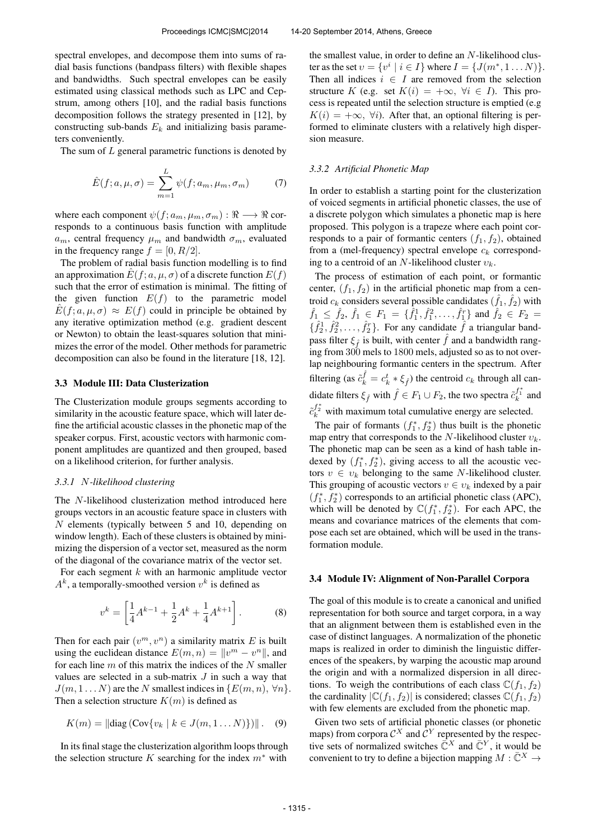spectral envelopes, and decompose them into sums of radial basis functions (bandpass filters) with flexible shapes and bandwidths. Such spectral envelopes can be easily estimated using classical methods such as LPC and Cepstrum, among others [10], and the radial basis functions decomposition follows the strategy presented in [12], by constructing sub-bands  $E_k$  and initializing basis parameters conveniently.

The sum of  $L$  general parametric functions is denoted by

$$
\hat{E}(f;a,\mu,\sigma) = \sum_{m=1}^{L} \psi(f;a_m,\mu_m,\sigma_m)
$$
 (7)

where each component  $\psi(f; a_m, \mu_m, \sigma_m) : \Re \longrightarrow \Re$  corresponds to a continuous basis function with amplitude  $a_m$ , central frequency  $\mu_m$  and bandwidth  $\sigma_m$ , evaluated in the frequency range  $f = [0, R/2]$ .

The problem of radial basis function modelling is to find an approximation  $E(f; a, \mu, \sigma)$  of a discrete function  $E(f)$ such that the error of estimation is minimal. The fitting of the given function  $E(f)$  to the parametric model  $\hat{E}(f; a, \mu, \sigma) \approx E(f)$  could in principle be obtained by any iterative optimization method (e.g. gradient descent or Newton) to obtain the least-squares solution that minimizes the error of the model. Other methods for parametric decomposition can also be found in the literature [18, 12].

#### 3.3 Module III: Data Clusterization

The Clusterization module groups segments according to similarity in the acoustic feature space, which will later define the artificial acoustic classes in the phonetic map of the speaker corpus. First, acoustic vectors with harmonic component amplitudes are quantized and then grouped, based on a likelihood criterion, for further analysis.

#### *3.3.1* N*-likelihood clustering*

The N-likelihood clusterization method introduced here groups vectors in an acoustic feature space in clusters with N elements (typically between 5 and 10, depending on window length). Each of these clusters is obtained by minimizing the dispersion of a vector set, measured as the norm of the diagonal of the covariance matrix of the vector set.

For each segment  $k$  with an harmonic amplitude vector  $A<sup>k</sup>$ , a temporally-smoothed version  $v<sup>k</sup>$  is defined as

$$
v^{k} = \left[\frac{1}{4}A^{k-1} + \frac{1}{2}A^{k} + \frac{1}{4}A^{k+1}\right].
$$
 (8)

Then for each pair  $(v^m, v^n)$  a similarity matrix E is built using the euclidean distance  $E(m, n) = ||v^m - v^n||$ , and for each line  $m$  of this matrix the indices of the  $N$  smaller values are selected in a sub-matrix  $J$  in such a way that  $J(m, 1...N)$  are the N smallest indices in  $\{E(m, n), \forall n\}.$ Then a selection structure  $K(m)$  is defined as

$$
K(m) = ||diag(Cov{v_k | k \in J(m, 1 ... N)})||. (9)
$$

In its final stage the clusterization algorithm loops through the selection structure K searching for the index  $m^*$  with

the smallest value, in order to define an N-likelihood cluster as the set  $v = \{v^i \mid i \in I\}$  where  $I = \{J(m^*, 1...N)\}.$ Then all indices  $i \in I$  are removed from the selection structure K (e.g. set  $K(i) = +\infty$ ,  $\forall i \in I$ ). This process is repeated until the selection structure is emptied (e.g  $K(i) = +\infty$ ,  $\forall i$ ). After that, an optional filtering is performed to eliminate clusters with a relatively high dispersion measure.

### *3.3.2 Artificial Phonetic Map*

In order to establish a starting point for the clusterization of voiced segments in artificial phonetic classes, the use of a discrete polygon which simulates a phonetic map is here proposed. This polygon is a trapeze where each point corresponds to a pair of formantic centers  $(f_1, f_2)$ , obtained from a (mel-frequency) spectral envelope  $c_k$  corresponding to a centroid of an N-likelihood cluster  $v_k$ .

The process of estimation of each point, or formantic center,  $(f_1, f_2)$  in the artificial phonetic map from a centroid  $c_k$  considers several possible candidates  $(\hat{f}_1, \hat{f}_2)$  with  $\hat{f}_1 \leq \hat{f}_2, \hat{f}_1 \in F_1 = \{\hat{f}_1^1, \hat{f}_1^2, \dots, \hat{f}_1^r\}$  and  $\hat{f}_2 \in F_2 =$  $\{\hat{f}_2^1, \hat{f}_2^2, \dots, \hat{f}_2^r\}$ . For any candidate  $\hat{f}$  a triangular bandpass filter  $\xi_{\hat{f}}$  is built, with center  $\hat{f}$  and a bandwidth ranging from 300 mels to 1800 mels, adjusted so as to not overlap neighbouring formantic centers in the spectrum. After filtering (as  $\tilde{c}_k^{\hat{f}} = c_k^t * \xi_{\hat{f}}$ ) the centroid  $c_k$  through all candidate filters  $\xi_{\hat{f}}$  with  $\hat{f} \in F_1 \cup F_2$ , the two spectra  $\tilde{c}_k^{f_1^*}$  and  $\tilde{c}_k^{f_2^*}$  with maximum total cumulative energy are selected.

The pair of formants  $(f_1^*, f_2^*)$  thus built is the phonetic map entry that corresponds to the N-likelihood cluster  $v_k$ . The phonetic map can be seen as a kind of hash table indexed by  $(f_1^*, f_2^*)$ , giving access to all the acoustic vectors  $v \in v_k$  belonging to the same N-likelihood cluster. This grouping of acoustic vectors  $v \in v_k$  indexed by a pair  $(f_1^*, f_2^*)$  corresponds to an artificial phonetic class (APC), which will be denoted by  $\mathbb{C}(f_1^*, f_2^*)$ . For each APC, the means and covariance matrices of the elements that compose each set are obtained, which will be used in the transformation module.

#### 3.4 Module IV: Alignment of Non-Parallel Corpora

The goal of this module is to create a canonical and unified representation for both source and target corpora, in a way that an alignment between them is established even in the case of distinct languages. A normalization of the phonetic maps is realized in order to diminish the linguistic differences of the speakers, by warping the acoustic map around the origin and with a normalized dispersion in all directions. To weigh the contributions of each class  $\mathbb{C}(f_1, f_2)$ the cardinality  $|C(f_1, f_2)|$  is considered; classes  $C(f_1, f_2)$ with few elements are excluded from the phonetic map.

Given two sets of artificial phonetic classes (or phonetic maps) from corpora  $\mathcal{C}^X$  and  $\mathcal{C}^Y$  represented by the respective sets of normalized switches  $\overline{C}^X$  and  $\overline{C}^Y$ , it would be convenient to try to define a bijection mapping  $M : \bar{\mathbb{C}}^X \to$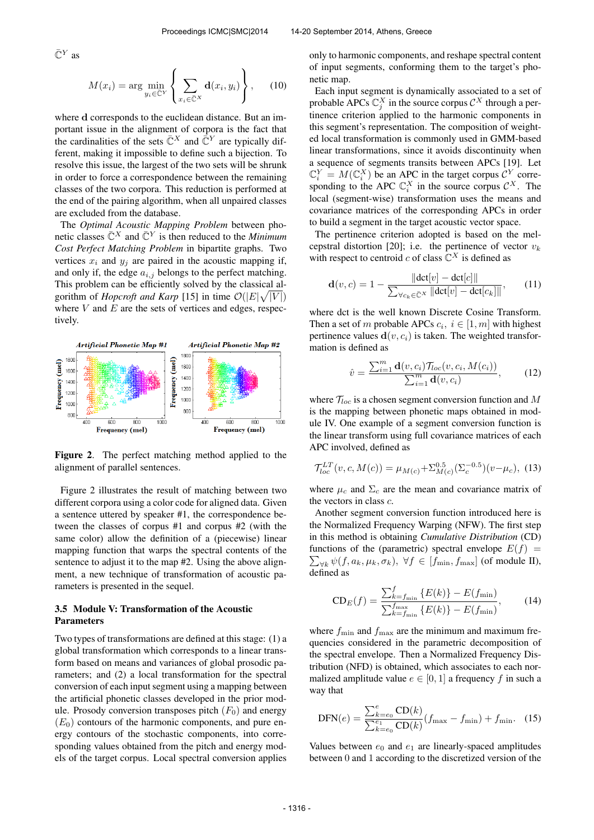$\bar{\mathbb{C}}^Y$  as

$$
M(x_i) = \arg\min_{y_i \in \bar{\mathbb{C}}^Y} \left\{ \sum_{x_i \in \bar{\mathbb{C}}^X} \mathbf{d}(x_i, y_i) \right\}, \quad (10)
$$

where **d** corresponds to the euclidean distance. But an important issue in the alignment of corpora is the fact that the cardinalities of the sets  $\overline{C}^X$  and  $\overline{C}^Y$  are typically different, making it impossible to define such a bijection. To resolve this issue, the largest of the two sets will be shrunk in order to force a correspondence between the remaining classes of the two corpora. This reduction is performed at the end of the pairing algorithm, when all unpaired classes are excluded from the database.

The *Optimal Acoustic Mapping Problem* between phonetic classes  $\bar{\mathbb{C}}^X$  and  $\bar{\mathbb{C}}^Y$  is then reduced to the *Minimum Cost Perfect Matching Problem* in bipartite graphs. Two vertices  $x_i$  and  $y_j$  are paired in the acoustic mapping if, and only if, the edge  $a_{i,j}$  belongs to the perfect matching. This problem can be efficiently solved by the classical algorithm of *Hopcroft and Karp* [15] in time  $\mathcal{O}(|E|\sqrt{|V|})$ where  $V$  and  $E$  are the sets of vertices and edges, respectively.



Figure 2. The perfect matching method applied to the alignment of parallel sentences.

Figure 2 illustrates the result of matching between two different corpora using a color code for aligned data. Given a sentence uttered by speaker #1, the correspondence between the classes of corpus #1 and corpus #2 (with the same color) allow the definition of a (piecewise) linear mapping function that warps the spectral contents of the sentence to adjust it to the map #2. Using the above alignment, a new technique of transformation of acoustic parameters is presented in the sequel.

## 3.5 Module V: Transformation of the Acoustic Parameters

Two types of transformations are defined at this stage: (1) a global transformation which corresponds to a linear transform based on means and variances of global prosodic parameters; and (2) a local transformation for the spectral conversion of each input segment using a mapping between the artificial phonetic classes developed in the prior module. Prosody conversion transposes pitch  $(F_0)$  and energy  $(E_0)$  contours of the harmonic components, and pure energy contours of the stochastic components, into corresponding values obtained from the pitch and energy models of the target corpus. Local spectral conversion applies only to harmonic components, and reshape spectral content of input segments, conforming them to the target's phonetic map.

Each input segment is dynamically associated to a set of probable APCs  $\mathbb{C}_j^X$  in the source corpus  $\mathcal{C}^X$  through a pertinence criterion applied to the harmonic components in this segment's representation. The composition of weighted local transformation is commonly used in GMM-based linear transformations, since it avoids discontinuity when a sequence of segments transits between APCs [19]. Let  $\mathbb{C}_i^Y = M(\mathbb{C}_i^X)$  be an APC in the target corpus  $\mathcal{C}_i^Y$  corresponding to the APC  $\mathbb{C}_i^X$  in the source corpus  $\mathcal{C}^X$ . The local (segment-wise) transformation uses the means and covariance matrices of the corresponding APCs in order to build a segment in the target acoustic vector space.

The pertinence criterion adopted is based on the melcepstral distortion [20]; i.e. the pertinence of vector  $v_k$ with respect to centroid c of class  $\mathbb{C}^X$  is defined as

$$
\mathbf{d}(v, c) = 1 - \frac{\|\text{det}[v] - \text{det}[c]\|}{\sum_{\forall c_k \in \bar{\mathbb{C}}^X} \|\text{det}[v] - \text{det}[c_k]\|},\qquad(11)
$$

where dct is the well known Discrete Cosine Transform. Then a set of m probable APCs  $c_i$ ,  $i \in [1, m]$  with highest pertinence values  $\mathbf{d}(v, c_i)$  is taken. The weighted transformation is defined as

$$
\hat{v} = \frac{\sum_{i=1}^{m} \mathbf{d}(v, c_i) \mathcal{T}_{loc}(v, c_i, M(c_i))}{\sum_{i=1}^{m} \mathbf{d}(v, c_i)},
$$
(12)

where  $\mathcal{T}_{loc}$  is a chosen segment conversion function and M is the mapping between phonetic maps obtained in module IV. One example of a segment conversion function is the linear transform using full covariance matrices of each APC involved, defined as

$$
\mathcal{T}^{LT}_{loc}(v, c, M(c)) = \mu_{M(c)} + \Sigma^{0.5}_{M(c)} (\Sigma_c^{-0.5}) (v - \mu_c), \tag{13}
$$

where  $\mu_c$  and  $\Sigma_c$  are the mean and covariance matrix of the vectors in class  $c$ .

Another segment conversion function introduced here is the Normalized Frequency Warping (NFW). The first step in this method is obtaining *Cumulative Distribution* (CD)  $\sum_{\forall k} \psi(f, a_k, \mu_k, \sigma_k), \ \forall f \in [f_{\min}, f_{\max}]$  (of module II), functions of the (parametric) spectral envelope  $E(f)$  = defined as

$$
CD_E(f) = \frac{\sum_{k=f_{\min}}^{f} \{E(k)\} - E(f_{\min})}{\sum_{k=f_{\min}}^{f_{\max}} \{E(k)\} - E(f_{\min})},
$$
(14)

where  $f_{\text{min}}$  and  $f_{\text{max}}$  are the minimum and maximum frequencies considered in the parametric decomposition of the spectral envelope. Then a Normalized Frequency Distribution (NFD) is obtained, which associates to each normalized amplitude value  $e \in [0, 1]$  a frequency f in such a way that

$$
DFN(e) = \frac{\sum_{k=e_0}^{e} CD(k)}{\sum_{k=e_0}^{e_1} CD(k)} (f_{\text{max}} - f_{\text{min}}) + f_{\text{min}}.
$$
 (15)

Values between  $e_0$  and  $e_1$  are linearly-spaced amplitudes between 0 and 1 according to the discretized version of the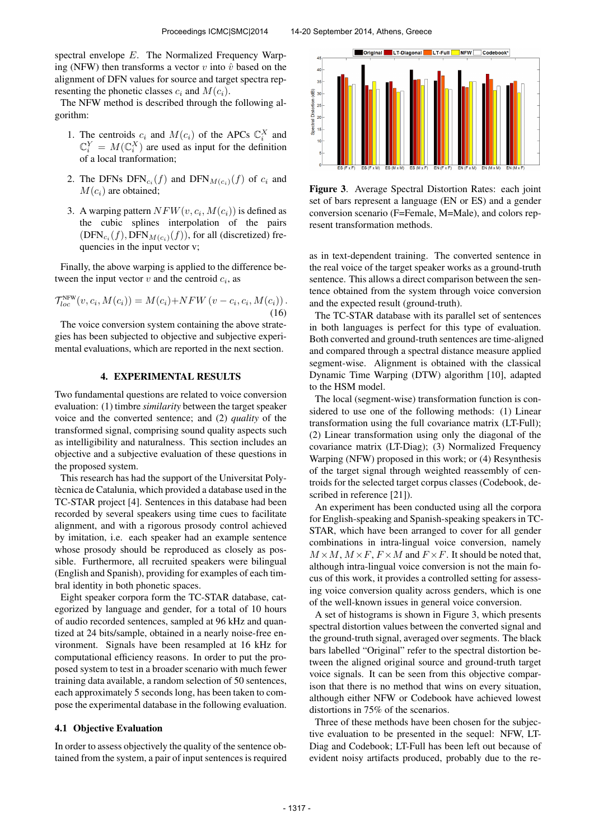spectral envelope E. The Normalized Frequency Warping (NFW) then transforms a vector v into  $\hat{v}$  based on the alignment of DFN values for source and target spectra representing the phonetic classes  $c_i$  and  $M(c_i)$ .

The NFW method is described through the following algorithm:

- 1. The centroids  $c_i$  and  $M(c_i)$  of the APCs  $\mathbb{C}_i^X$  and  $\mathbb{C}_i^Y = M(\mathbb{C}_i^X)$  are used as input for the definition of a local tranformation;
- 2. The DFNs  $\text{DFN}_{c_i}(f)$  and  $\text{DFN}_{M(c_i)}(f)$  of  $c_i$  and  $M(c_i)$  are obtained;
- 3. A warping pattern  $NFW(v, c_i, M(c_i))$  is defined as the cubic splines interpolation of the pairs  $(DFN_{c_i}(f), DFN_{M(c_i)}(f))$ , for all (discretized) frequencies in the input vector v;

Finally, the above warping is applied to the difference between the input vector  $v$  and the centroid  $c_i$ , as

$$
\mathcal{T}_{loc}^{\text{NFW}}(v, c_i, M(c_i)) = M(c_i) + NFW(v - c_i, c_i, M(c_i)).
$$
\n(16)

The voice conversion system containing the above strategies has been subjected to objective and subjective experimental evaluations, which are reported in the next section.

### 4. EXPERIMENTAL RESULTS

Two fundamental questions are related to voice conversion evaluation: (1) timbre *similarity* between the target speaker voice and the converted sentence; and (2) *quality* of the transformed signal, comprising sound quality aspects such as intelligibility and naturalness. This section includes an objective and a subjective evaluation of these questions in the proposed system.

This research has had the support of the Universitat Polytècnica de Catalunia, which provided a database used in the TC-STAR project [4]. Sentences in this database had been recorded by several speakers using time cues to facilitate alignment, and with a rigorous prosody control achieved by imitation, i.e. each speaker had an example sentence whose prosody should be reproduced as closely as possible. Furthermore, all recruited speakers were bilingual (English and Spanish), providing for examples of each timbral identity in both phonetic spaces.

Eight speaker corpora form the TC-STAR database, categorized by language and gender, for a total of 10 hours of audio recorded sentences, sampled at 96 kHz and quantized at 24 bits/sample, obtained in a nearly noise-free environment. Signals have been resampled at 16 kHz for computational efficiency reasons. In order to put the proposed system to test in a broader scenario with much fewer training data available, a random selection of 50 sentences, each approximately 5 seconds long, has been taken to compose the experimental database in the following evaluation.

### 4.1 Objective Evaluation

In order to assess objectively the quality of the sentence obtained from the system, a pair of input sentences is required



Figure 3. Average Spectral Distortion Rates: each joint set of bars represent a language (EN or ES) and a gender conversion scenario (F=Female, M=Male), and colors represent transformation methods.

as in text-dependent training. The converted sentence in the real voice of the target speaker works as a ground-truth sentence. This allows a direct comparison between the sentence obtained from the system through voice conversion and the expected result (ground-truth).

The TC-STAR database with its parallel set of sentences in both languages is perfect for this type of evaluation. Both converted and ground-truth sentences are time-aligned and compared through a spectral distance measure applied segment-wise. Alignment is obtained with the classical Dynamic Time Warping (DTW) algorithm [10], adapted to the HSM model.

The local (segment-wise) transformation function is considered to use one of the following methods: (1) Linear transformation using the full covariance matrix (LT-Full); (2) Linear transformation using only the diagonal of the covariance matrix (LT-Diag); (3) Normalized Frequency Warping (NFW) proposed in this work; or (4) Resynthesis of the target signal through weighted reassembly of centroids for the selected target corpus classes (Codebook, described in reference [21]).

An experiment has been conducted using all the corpora for English-speaking and Spanish-speaking speakers in TC-STAR, which have been arranged to cover for all gender combinations in intra-lingual voice conversion, namely  $M \times M$ ,  $M \times F$ ,  $F \times M$  and  $F \times F$ . It should be noted that, although intra-lingual voice conversion is not the main focus of this work, it provides a controlled setting for assessing voice conversion quality across genders, which is one of the well-known issues in general voice conversion.

A set of histograms is shown in Figure 3, which presents spectral distortion values between the converted signal and the ground-truth signal, averaged over segments. The black bars labelled "Original" refer to the spectral distortion between the aligned original source and ground-truth target voice signals. It can be seen from this objective comparison that there is no method that wins on every situation, although either NFW or Codebook have achieved lowest distortions in 75% of the scenarios.

Three of these methods have been chosen for the subjective evaluation to be presented in the sequel: NFW, LT-Diag and Codebook; LT-Full has been left out because of evident noisy artifacts produced, probably due to the re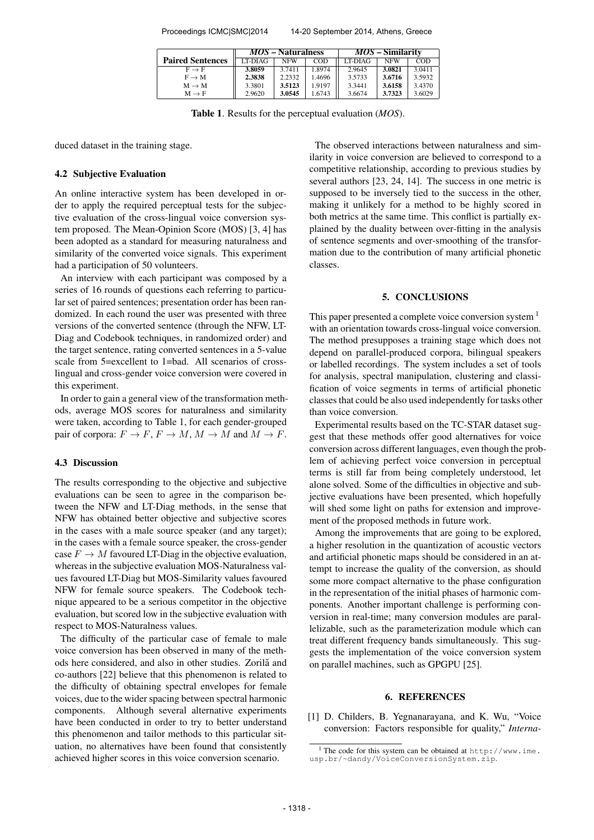Proceedings ICMC|SMC|2014 14-20 September 2014, Athens, Greece

|                         | $MOS - Naturalness$ |            |        | <i>MOS</i> – Similarity |            |        |
|-------------------------|---------------------|------------|--------|-------------------------|------------|--------|
| <b>Paired Sentences</b> | LT-DIAG             | <b>NFW</b> | COD    | LT-DIAG                 | <b>NFW</b> | COD    |
| $F \rightarrow F$       | 3.8059              | 3.7411     | 1.8974 | 2.9645                  | 3.0821     | 3.0411 |
| $F \rightarrow M$       | 2.3838              | 2.2332     | 1.4696 | 3.5733                  | 3.6716     | 3.5932 |
| $M \rightarrow M$       | 3.3801              | 3.5123     | 1.9197 | 3.3441                  | 3.6158     | 3.4370 |
| $M \rightarrow F$       | 2.9620              | 3.0545     | 1.6743 | 3.6674                  | 3.7323     | 3.6029 |

Table 1. Results for the perceptual evaluation (*MOS*).

duced dataset in the training stage.

#### 4.2 Subjective Evaluation

An online interactive system has been developed in order to apply the required perceptual tests for the subjective evaluation of the cross-lingual voice conversion system proposed. The Mean-Opinion Score (MOS) [3, 4] has been adopted as a standard for measuring naturalness and similarity of the converted voice signals. This experiment had a participation of 50 volunteers.

An interview with each participant was composed by a series of 16 rounds of questions each referring to particular set of paired sentences; presentation order has been randomized. In each round the user was presented with three versions of the converted sentence (through the NFW, LT-Diag and Codebook techniques, in randomized order) and the target sentence, rating converted sentences in a 5-value scale from 5=excellent to 1=bad. All scenarios of crosslingual and cross-gender voice conversion were covered in this experiment.

In order to gain a general view of the transformation methods, average MOS scores for naturalness and similarity were taken, according to Table 1, for each gender-grouped pair of corpora:  $F \to F$ ,  $F \to M$ ,  $M \to M$  and  $M \to F$ .

### 4.3 Discussion

The results corresponding to the objective and subjective evaluations can be seen to agree in the comparison between the NFW and LT-Diag methods, in the sense that NFW has obtained better objective and subjective scores in the cases with a male source speaker (and any target); in the cases with a female source speaker, the cross-gender case  $F \to M$  favoured LT-Diag in the objective evaluation, whereas in the subjective evaluation MOS-Naturalness values favoured LT-Diag but MOS-Similarity values favoured NFW for female source speakers. The Codebook technique appeared to be a serious competitor in the objective evaluation, but scored low in the subjective evaluation with respect to MOS-Naturalness values.

The difficulty of the particular case of female to male voice conversion has been observed in many of the methods here considered, and also in other studies. Zorilă and co-authors [22] believe that this phenomenon is related to the difficulty of obtaining spectral envelopes for female voices, due to the wider spacing between spectral harmonic components. Although several alternative experiments have been conducted in order to try to better understand this phenomenon and tailor methods to this particular situation, no alternatives have been found that consistently achieved higher scores in this voice conversion scenario.

The observed interactions between naturalness and similarity in voice conversion are believed to correspond to a competitive relationship, according to previous studies by several authors [23, 24, 14]. The success in one metric is supposed to be inversely tied to the success in the other, making it unlikely for a method to be highly scored in both metrics at the same time. This conflict is partially explained by the duality between over-fitting in the analysis of sentence segments and over-smoothing of the transformation due to the contribution of many artificial phonetic classes.

#### 5. CONCLUSIONS

This paper presented a complete voice conversion system <sup>1</sup> with an orientation towards cross-lingual voice conversion. The method presupposes a training stage which does not depend on parallel-produced corpora, bilingual speakers or labelled recordings. The system includes a set of tools for analysis, spectral manipulation, clustering and classification of voice segments in terms of artificial phonetic classes that could be also used independently for tasks other than voice conversion.

Experimental results based on the TC-STAR dataset suggest that these methods offer good alternatives for voice conversion across different languages, even though the problem of achieving perfect voice conversion in perceptual terms is still far from being completely understood, let alone solved. Some of the difficulties in objective and subjective evaluations have been presented, which hopefully will shed some light on paths for extension and improvement of the proposed methods in future work.

Among the improvements that are going to be explored, a higher resolution in the quantization of acoustic vectors and artificial phonetic maps should be considered in an attempt to increase the quality of the conversion, as should some more compact alternative to the phase configuration in the representation of the initial phases of harmonic components. Another important challenge is performing conversion in real-time; many conversion modules are parallelizable, such as the parameterization module which can treat different frequency bands simultaneously. This suggests the implementation of the voice conversion system on parallel machines, such as GPGPU [25].

#### 6. REFERENCES

[1] D. Childers, B. Yegnanarayana, and K. Wu, "Voice conversion: Factors responsible for quality," *Interna-*

<sup>&</sup>lt;sup>1</sup> The code for this system can be obtained at  $http://www.ime.$ [usp.br/~dandy/VoiceConversionSystem.zip](http://www.ime.usp.br/~dandy/VoiceConversionSystem.zip).